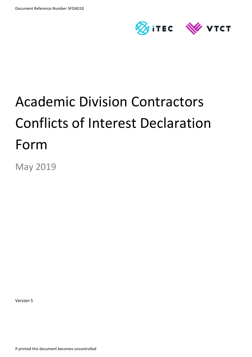

# Academic Division Contractors Conflicts of Interest Declaration Form

May 2019

Version 5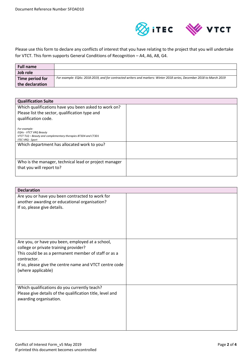

Please use this form to declare any conflicts of interest that you have relating to the project that you will undertake for VTCT. This form supports General Conditions of Recognition – A4, A6, A8, G4.

| Full name       |                                                                                                                       |
|-----------------|-----------------------------------------------------------------------------------------------------------------------|
| Job role        |                                                                                                                       |
| Time period for | For example: EQAs: 2018-2019, and for contracted writers and markers: Winter 2018 series, December 2018 to March 2019 |
| the declaration |                                                                                                                       |

| <b>Qualification Suite</b>                                                                     |  |
|------------------------------------------------------------------------------------------------|--|
| Which qualifications have you been asked to work on?                                           |  |
| Please list the sector, qualification type and                                                 |  |
| qualification code.                                                                            |  |
|                                                                                                |  |
| For example:                                                                                   |  |
| <b>EQAs - VTCT VRQ Beauty</b><br>VTCT TLQ - Beauty and complementary therapies BT3D4 and CT3D1 |  |
| <b>ITEC VRQ - Sport</b>                                                                        |  |
| Which department has allocated work to you?                                                    |  |
|                                                                                                |  |
|                                                                                                |  |
| Who is the manager, technical lead or project manager                                          |  |
| that you will report to?                                                                       |  |
|                                                                                                |  |

| <b>Declaration</b>                                        |  |
|-----------------------------------------------------------|--|
| Are you or have you been contracted to work for           |  |
| another awarding or educational organisation?             |  |
| If so, please give details.                               |  |
|                                                           |  |
|                                                           |  |
|                                                           |  |
|                                                           |  |
|                                                           |  |
| Are you, or have you been, employed at a school,          |  |
| college or private training provider?                     |  |
| This could be as a permanent member of staff or as a      |  |
| contractor.                                               |  |
| If so, please give the centre name and VTCT centre code   |  |
| (where applicable)                                        |  |
|                                                           |  |
| Which qualifications do you currently teach?              |  |
| Please give details of the qualification title, level and |  |
| awarding organisation.                                    |  |
|                                                           |  |
|                                                           |  |
|                                                           |  |
|                                                           |  |
|                                                           |  |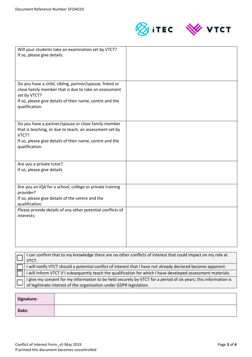



| Will your students take an examination set by VTCT?<br>If so, please give details.                                                          |  |
|---------------------------------------------------------------------------------------------------------------------------------------------|--|
|                                                                                                                                             |  |
| Do you have a child, sibling, partner/spouse, friend or<br>close family member that is due to take an assessment<br>set by VTCT?            |  |
| If so, please give details of their name, centre and the<br>qualification.                                                                  |  |
| Do you have a partner/spouse or close family member<br>that is teaching, or due to teach, an assessment set by<br>VTCT?                     |  |
| If so, please give details of their name, centre and the<br>qualification.                                                                  |  |
| Are you a private tutor?<br>If so, please give details.                                                                                     |  |
| Are you an IQA for a school, college or private training<br>provider?<br>If so, please give details of the centre and the<br>qualification. |  |
| Please provide details of any other potential conflicts of<br>interests:                                                                    |  |
|                                                                                                                                             |  |

| I can confirm that to my knowledge there are no other conflicts of interest that could impact on my role at<br>VTCT.                                                                      |
|-------------------------------------------------------------------------------------------------------------------------------------------------------------------------------------------|
| I will notify VTCT should a potential conflict of interest that I have not already declared become apparent.                                                                              |
| I will inform VTCT if I subsequently teach the qualification for which I have developed assessment materials.                                                                             |
| $\Box$ I give my consent for my information to be held securely by VTCT for a period of six years; this information is of legitimate interest of the organisation under GDPR legislation. |
|                                                                                                                                                                                           |

| Signature: |  |
|------------|--|
| Date:      |  |